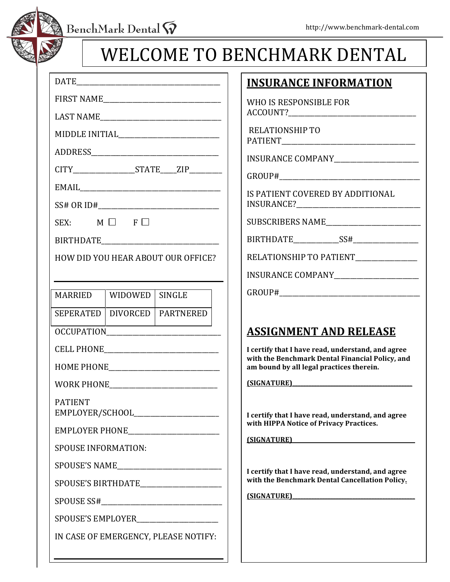BenchMark Dental  $\widetilde{\mathsf{W}}$ 



# WELCOME TO BENCHMARK DENTAL

|                                         | CITY_____________________STATE_____ZIP_________ |                                  |  |  |  |  |  |  |
|-----------------------------------------|-------------------------------------------------|----------------------------------|--|--|--|--|--|--|
|                                         |                                                 |                                  |  |  |  |  |  |  |
|                                         |                                                 |                                  |  |  |  |  |  |  |
| SEX: $M \Box F \Box$                    |                                                 |                                  |  |  |  |  |  |  |
|                                         |                                                 |                                  |  |  |  |  |  |  |
| HOW DID YOU HEAR ABOUT OUR OFFICE?      |                                                 |                                  |  |  |  |  |  |  |
|                                         |                                                 |                                  |  |  |  |  |  |  |
| MARRIED   WIDOWED   SINGLE              |                                                 |                                  |  |  |  |  |  |  |
|                                         |                                                 | SEPERATED   DIVORCED   PARTNERED |  |  |  |  |  |  |
|                                         |                                                 |                                  |  |  |  |  |  |  |
|                                         |                                                 |                                  |  |  |  |  |  |  |
|                                         |                                                 |                                  |  |  |  |  |  |  |
|                                         |                                                 |                                  |  |  |  |  |  |  |
| <b>PATIENT</b>                          |                                                 |                                  |  |  |  |  |  |  |
|                                         |                                                 |                                  |  |  |  |  |  |  |
| <b>SPOUSE INFORMATION:</b>              |                                                 |                                  |  |  |  |  |  |  |
|                                         |                                                 |                                  |  |  |  |  |  |  |
|                                         |                                                 | SPOUSE'S BIRTHDATE               |  |  |  |  |  |  |
|                                         |                                                 |                                  |  |  |  |  |  |  |
| SPOUSE'S EMPLOYER______________________ |                                                 |                                  |  |  |  |  |  |  |
| IN CASE OF EMERGENCY, PLEASE NOTIFY:    |                                                 |                                  |  |  |  |  |  |  |
|                                         |                                                 |                                  |  |  |  |  |  |  |

### **INSURANCE INFORMATION**

WHO IS RESPONSIBLE FOR ACCOUNT?

RELATIONSHIP TO PATIENT\_\_\_\_\_\_\_\_\_\_\_\_\_\_\_\_\_\_\_\_\_\_\_\_\_\_\_\_\_\_\_\_\_\_\_\_\_\_\_\_\_

INSURANCE!COMPANY\_\_\_\_\_\_\_\_\_\_\_\_\_\_\_\_\_\_\_\_\_\_\_\_\_\_

GROUP#\_\_\_\_\_\_\_\_\_\_\_\_\_\_\_\_\_\_\_\_\_\_\_\_\_\_\_\_\_\_\_\_\_\_\_\_\_\_\_\_\_\_\_

IS PATIENT COVERED BY ADDITIONAL INSURANCE?\_\_\_\_\_\_\_\_\_\_\_\_\_\_\_\_\_\_\_\_\_\_\_\_\_\_\_\_\_\_\_\_\_\_\_\_\_\_

SUBSCRIBERS!NAME\_\_\_\_\_\_\_\_\_\_\_\_\_\_\_\_\_\_\_\_\_\_\_\_\_\_\_\_\_

BIRTHDATE SS#

RELATIONSHIP TO PATIENT

INSURANCE COMPANY

GROUP#\_\_\_\_\_\_\_\_\_\_\_\_\_\_\_\_\_\_\_\_\_\_\_\_\_\_\_\_\_\_\_\_\_\_\_\_\_\_\_\_\_\_\_

## **ASSIGNMENT AND RELEASE**

**I** certify that I have read, understand, and agree with the Benchmark Dental Financial Policy, and am bound by all legal practices therein.

**(SIGNATURE)\_\_\_\_\_\_\_\_\_\_\_\_\_\_\_\_\_\_\_\_\_\_\_\_\_\_\_\_\_\_\_\_\_\_\_\_\_\_\_\_\_\_\_\_**

I certify that I have read, understand, and agree with **HIPPA** Notice of Privacy Practices.

**(SIGNATURE)\_\_\_\_\_\_\_\_\_\_\_\_\_\_\_\_\_\_\_\_\_\_\_\_\_\_\_\_\_\_\_\_\_\_\_\_\_\_\_\_\_\_\_\_\_**

**I** certify that I have read, understand, and agree with the Benchmark Dental Cancellation Policy.

**(SIGNATURE)\_\_\_\_\_\_\_\_\_\_\_\_\_\_\_\_\_\_\_\_\_\_\_\_\_\_\_\_\_\_\_\_\_\_\_\_\_\_\_\_\_\_\_\_\_**